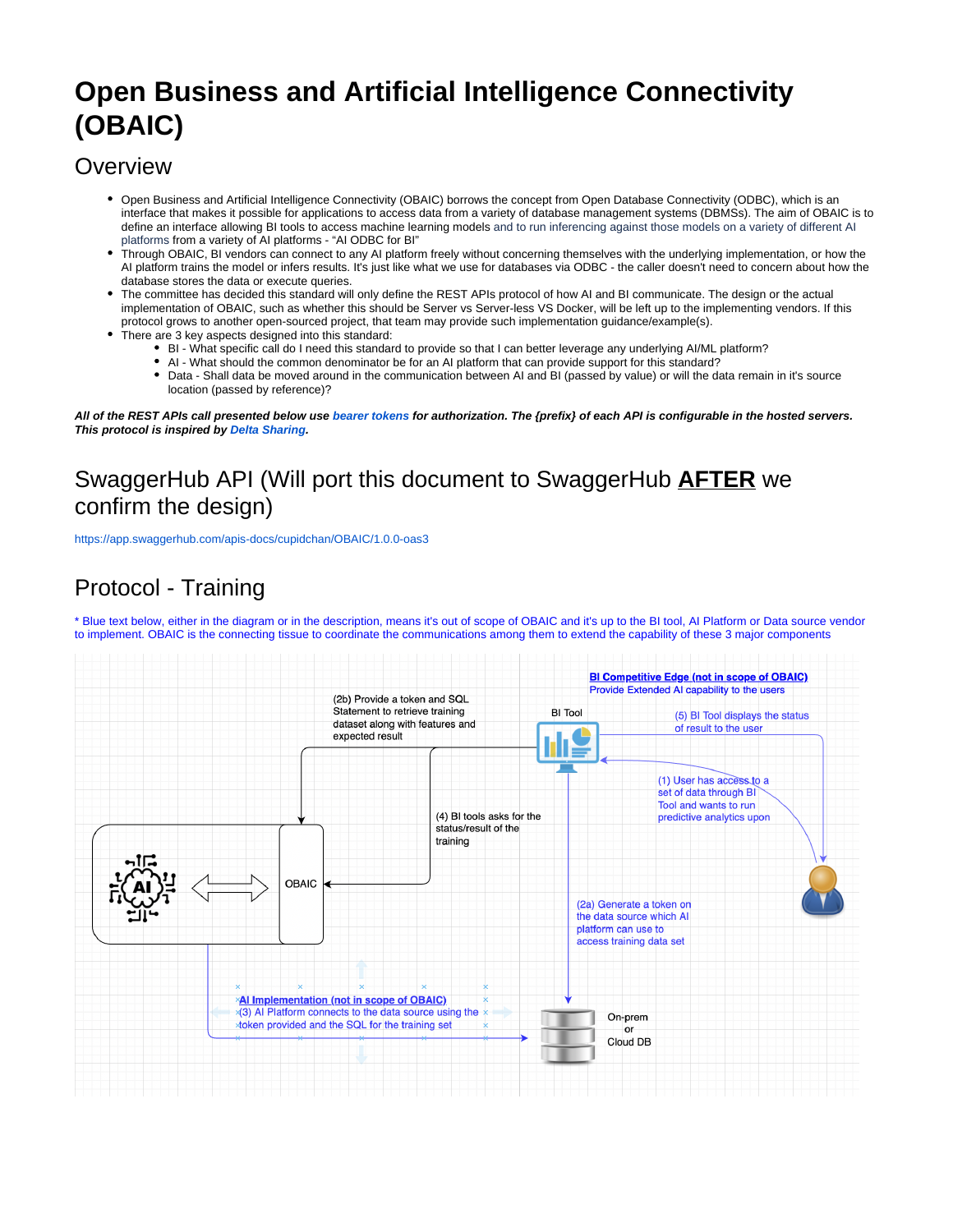# **Open Business and Artificial Intelligence Connectivity (OBAIC)**

### **Overview**

- Open Business and Artificial Intelligence Connectivity (OBAIC) borrows the concept from Open Database Connectivity (ODBC), which is an interface that makes it possible for applications to access data from a variety of database management systems (DBMSs). The aim of OBAIC is to define an interface allowing BI tools to access machine learning models and to run inferencing against those models on a variety of different AI platforms from a variety of AI platforms - "AI ODBC for BI"
- Through OBAIC, BI vendors can connect to any AI platform freely without concerning themselves with the underlying implementation, or how the AI platform trains the model or infers results. It's just like what we use for databases via ODBC - the caller doesn't need to concern about how the database stores the data or execute queries.
- The committee has decided this standard will only define the REST APIs protocol of how AI and BI communicate. The design or the actual implementation of OBAIC, such as whether this should be Server vs Server-less VS Docker, will be left up to the implementing vendors. If this protocol grows to another open-sourced project, that team may provide such implementation guidance/example(s).
- There are 3 key aspects designed into this standard:
	- BI What specific call do I need this standard to provide so that I can better leverage any underlying AI/ML platform?
	- AI What should the common denominator be for an AI platform that can provide support for this standard?
	- Data Shall data be moved around in the communication between AI and BI (passed by value) or will the data remain in it's source location (passed by reference)?

**All of the REST APIs call presented below use [bearer tokens](https://tools.ietf.org/html/rfc6750) for authorization. The {prefix} of each API is configurable in the hosted servers. This protocol is inspired by [Delta Sharing](https://github.com/delta-io/delta-sharing/blob/main/PROTOCOL.md#delta-sharing-protocol).**

# SwaggerHub API (Will port this document to SwaggerHub **AFTER** we confirm the design)

<https://app.swaggerhub.com/apis-docs/cupidchan/OBAIC/1.0.0-oas3>

# Protocol - Training

\* Blue text below, either in the diagram or in the description, means it's out of scope of OBAIC and it's up to the BI tool, AI Platform or Data source vendor to implement. OBAIC is the connecting tissue to coordinate the communications among them to extend the capability of these 3 major components

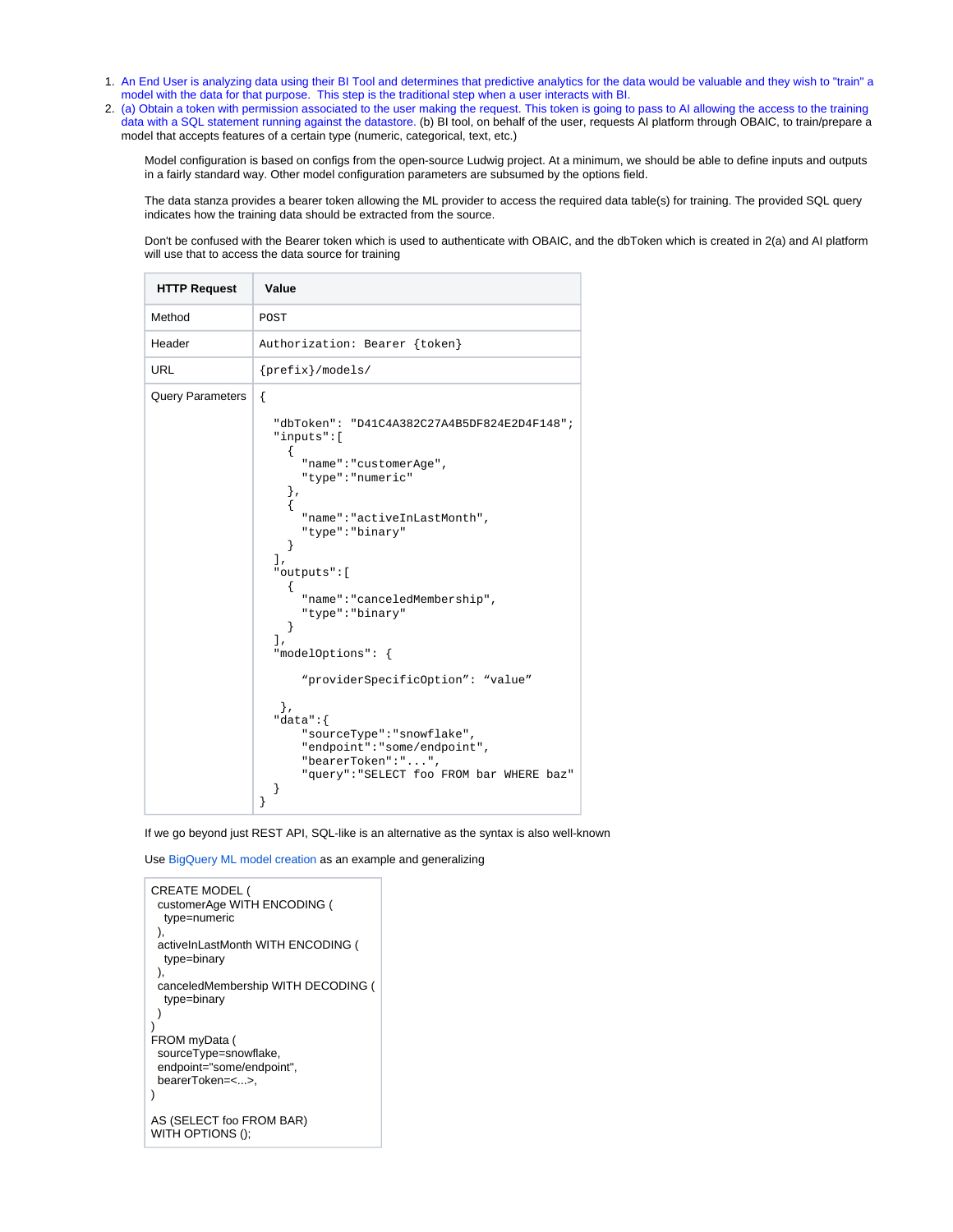- 1. An End User is analyzing data using their BI Tool and determines that predictive analytics for the data would be valuable and they wish to "train" a model with the data for that purpose. This step is the traditional step when a user interacts with BI.
- 2. (a) Obtain a token with permission associated to the user making the request. This token is going to pass to AI allowing the access to the training data with a SQL statement running against the datastore. (b) BI tool, on behalf of the user, requests AI platform through OBAIC, to train/prepare a model that accepts features of a certain type (numeric, categorical, text, etc.)

Model configuration is based on configs from the open-source Ludwig project. At a minimum, we should be able to define inputs and outputs in a fairly standard way. Other model configuration parameters are subsumed by the options field.

The data stanza provides a bearer token allowing the ML provider to access the required data table(s) for training. The provided SQL query indicates how the training data should be extracted from the source.

Don't be confused with the Bearer token which is used to authenticate with OBAIC, and the dbToken which is created in 2(a) and AI platform will use that to access the data source for training

| <b>HTTP Request</b>     | Value                                                                                                                                                                                                                                                                                                                                                                                                                                                                                              |
|-------------------------|----------------------------------------------------------------------------------------------------------------------------------------------------------------------------------------------------------------------------------------------------------------------------------------------------------------------------------------------------------------------------------------------------------------------------------------------------------------------------------------------------|
| Method                  | POST                                                                                                                                                                                                                                                                                                                                                                                                                                                                                               |
| Header                  | Authorization: Bearer {token}                                                                                                                                                                                                                                                                                                                                                                                                                                                                      |
| <b>URL</b>              | $\{prefix\}/models$                                                                                                                                                                                                                                                                                                                                                                                                                                                                                |
| <b>Query Parameters</b> | $\{$<br>"dbToken": "D41C4A382C27A4B5DF824E2D4F148";<br>"inputs":[<br>"name": "customerAge",<br>"type": "numeric"<br>},<br>ſ<br>"name": "activeInLastMonth",<br>"type": "binary"<br>ł<br>1.<br>"outputs":[<br>Ł<br>"name": "canceledMembership",<br>"type": "binary"<br>ł<br>l.<br>"modelOptions": {<br>"providerSpecificOption": "value"<br>Ι,<br>"data":<br>"sourceType": "snowflake",<br>"endpoint": "some/endpoint",<br>"bearerToken":"",<br>"query": "SELECT foo FROM bar WHERE baz"<br>}<br>} |

If we go beyond just REST API, SQL-like is an alternative as the syntax is also well-known

Use [BigQuery ML model creation](https://cloud.google.com/bigquery-ml/docs/reference/standard-sql/bigqueryml-syntax-create) as an example and generalizing

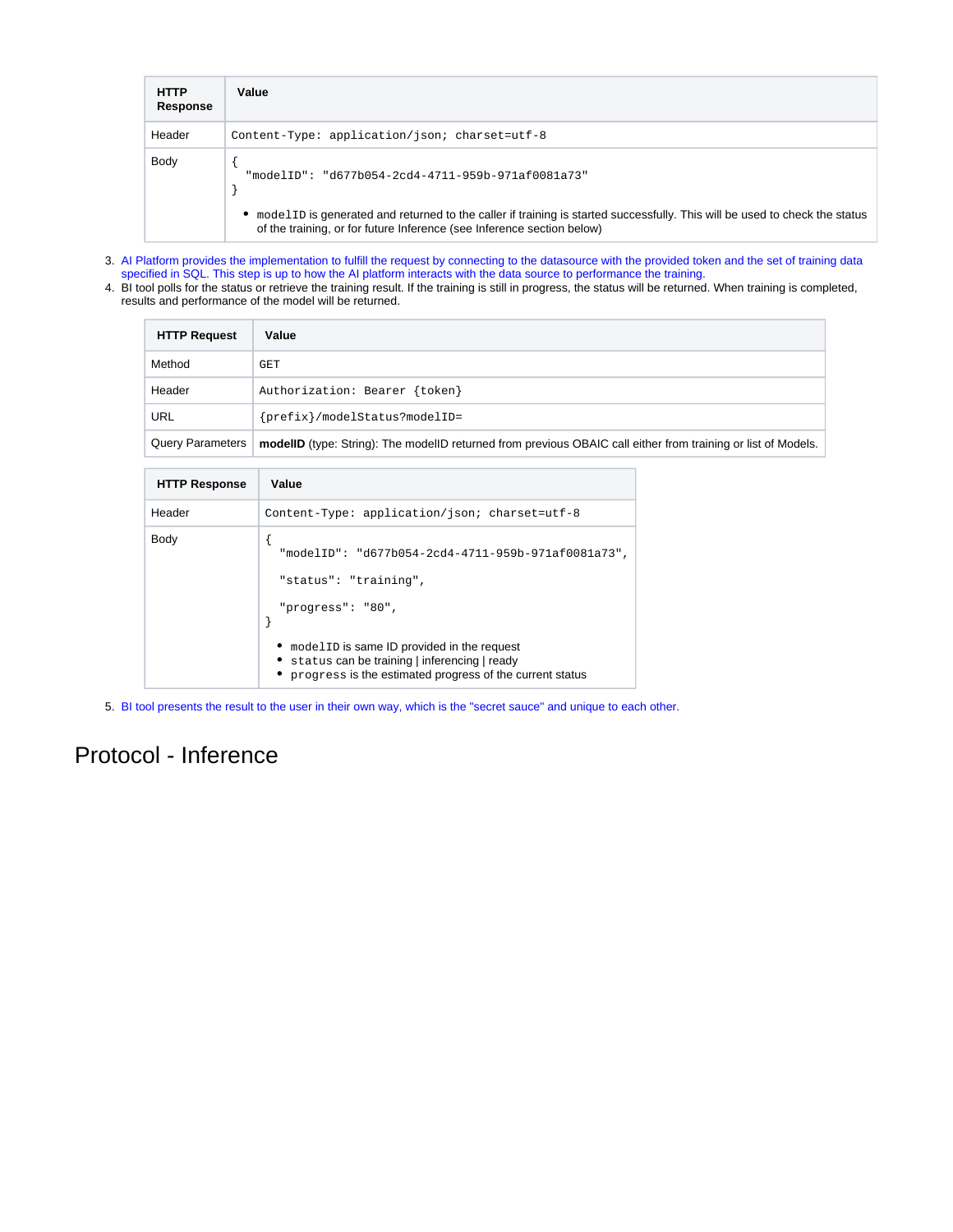| <b>HTTP</b><br>Response | Value                                                                                                                                                                                                  |
|-------------------------|--------------------------------------------------------------------------------------------------------------------------------------------------------------------------------------------------------|
| Header                  | Content-Type: application/json; charset=utf-8                                                                                                                                                          |
| Body                    | "modelID": "d677b054-2cd4-4711-959b-971af0081a73"                                                                                                                                                      |
|                         | • modelID is generated and returned to the caller if training is started successfully. This will be used to check the status<br>of the training, or for future Inference (see Inference section below) |

- 3. AI Platform provides the implementation to fulfill the request by connecting to the datasource with the provided token and the set of training data specified in SQL. This step is up to how the AI platform interacts with the data source to performance the training.
- 4. BI tool polls for the status or retrieve the training result. If the training is still in progress, the status will be returned. When training is completed, results and performance of the model will be returned.

| <b>HTTP Request</b> | Value                                                                                                         |
|---------------------|---------------------------------------------------------------------------------------------------------------|
| Method              | GET                                                                                                           |
| Header              | Authorization: Bearer {token}                                                                                 |
| URL                 | {prefix}/modelStatus?modelID=                                                                                 |
| Query Parameters    | modellD (type: String): The modellD returned from previous OBAIC call either from training or list of Models. |

| <b>HTTP Response</b> | Value                                                                                                                                             |
|----------------------|---------------------------------------------------------------------------------------------------------------------------------------------------|
| Header               | Content-Type: application/json; charset=utf-8                                                                                                     |
| Body                 | "modelID": "d677b054-2cd4-4711-959b-971af0081a73",<br>"status": "training",<br>"progress": "80",<br>• model ID is same ID provided in the request |
|                      | • status can be training   inferencing   ready<br>progress is the estimated progress of the current status                                        |

5. BI tool presents the result to the user in their own way, which is the "secret sauce" and unique to each other.

### Protocol - Inference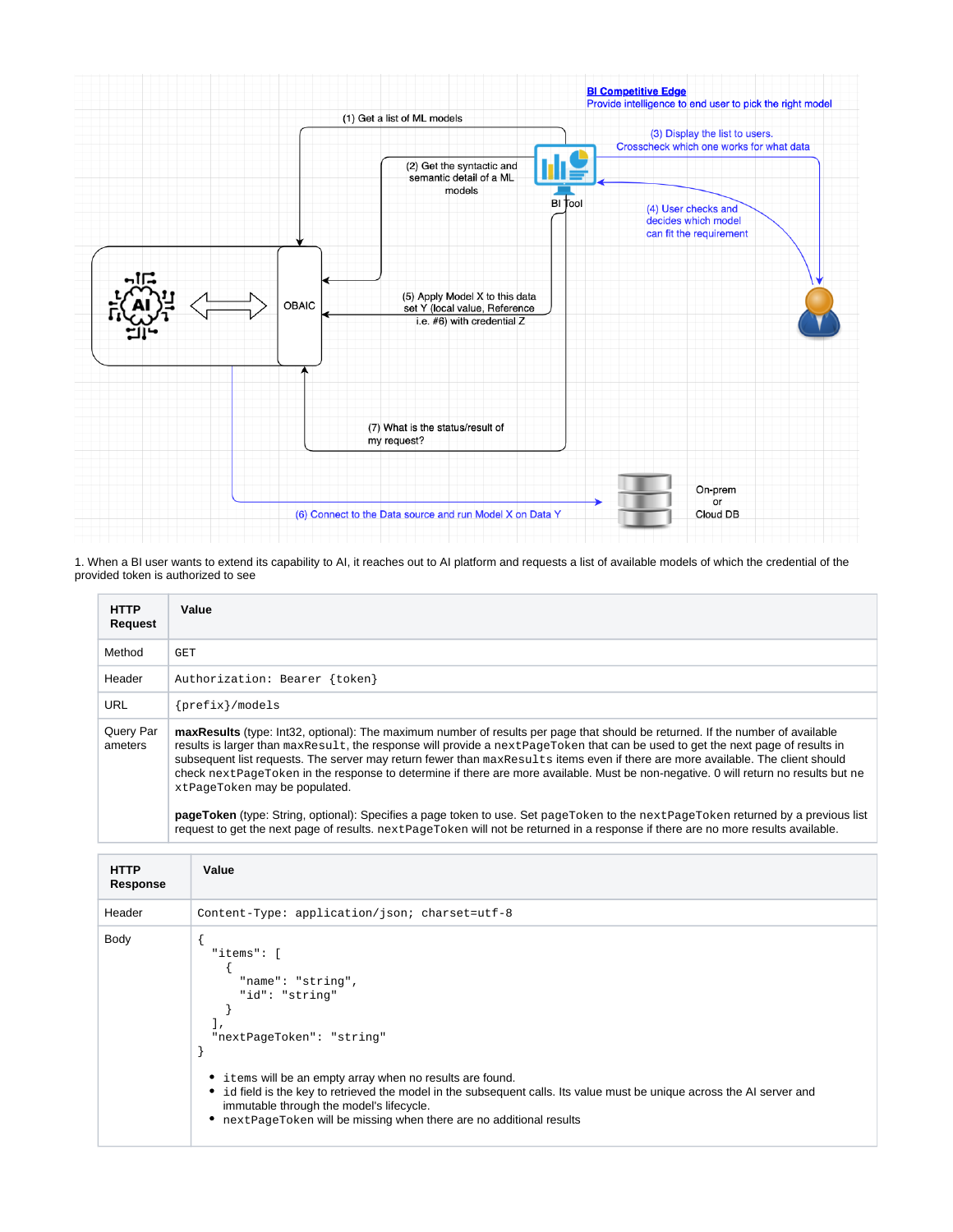

1. When a BI user wants to extend its capability to AI, it reaches out to AI platform and requests a list of available models of which the credential of the provided token is authorized to see

| <b>HTTP</b><br>Request | Value                                                                                                                                                                                                                                                                                                                                                                                                                                                                                                                                                                         |  |
|------------------------|-------------------------------------------------------------------------------------------------------------------------------------------------------------------------------------------------------------------------------------------------------------------------------------------------------------------------------------------------------------------------------------------------------------------------------------------------------------------------------------------------------------------------------------------------------------------------------|--|
| Method                 | <b>GET</b>                                                                                                                                                                                                                                                                                                                                                                                                                                                                                                                                                                    |  |
| Header                 | Authorization: Bearer {token}                                                                                                                                                                                                                                                                                                                                                                                                                                                                                                                                                 |  |
| <b>URL</b>             | $\{prefix\}/models$                                                                                                                                                                                                                                                                                                                                                                                                                                                                                                                                                           |  |
| Query Par<br>ameters   | maxResults (type: Int32, optional): The maximum number of results per page that should be returned. If the number of available<br>results is larger than maxResult, the response will provide a nextPageToken that can be used to get the next page of results in<br>subsequent list requests. The server may return fewer than maxResults items even if there are more available. The client should<br>check next PageToken in the response to determine if there are more available. Must be non-negative. 0 will return no results but ne<br>xtPageToken may be populated. |  |
|                        | pageToken (type: String, optional): Specifies a page token to use. Set pageToken to the next PageToken returned by a previous list                                                                                                                                                                                                                                                                                                                                                                                                                                            |  |

request to get the next page of results. nextPageToken will not be returned in a response if there are no more results available.

| <b>HTTP</b><br>Response | Value                                                                                                                                                                                                                                                                                                                                                                                       |
|-------------------------|---------------------------------------------------------------------------------------------------------------------------------------------------------------------------------------------------------------------------------------------------------------------------------------------------------------------------------------------------------------------------------------------|
| Header                  | Content-Type: application/json; charset=utf-8                                                                                                                                                                                                                                                                                                                                               |
| Body                    | "items": [<br>"name": "string",<br>"id": "string"<br>"nextPageToken": "string"<br>• items will be an empty array when no results are found.<br>id field is the key to retrieved the model in the subsequent calls. Its value must be unique across the AI server and<br>٠<br>immutable through the model's lifecycle.<br>nextPageToken will be missing when there are no additional results |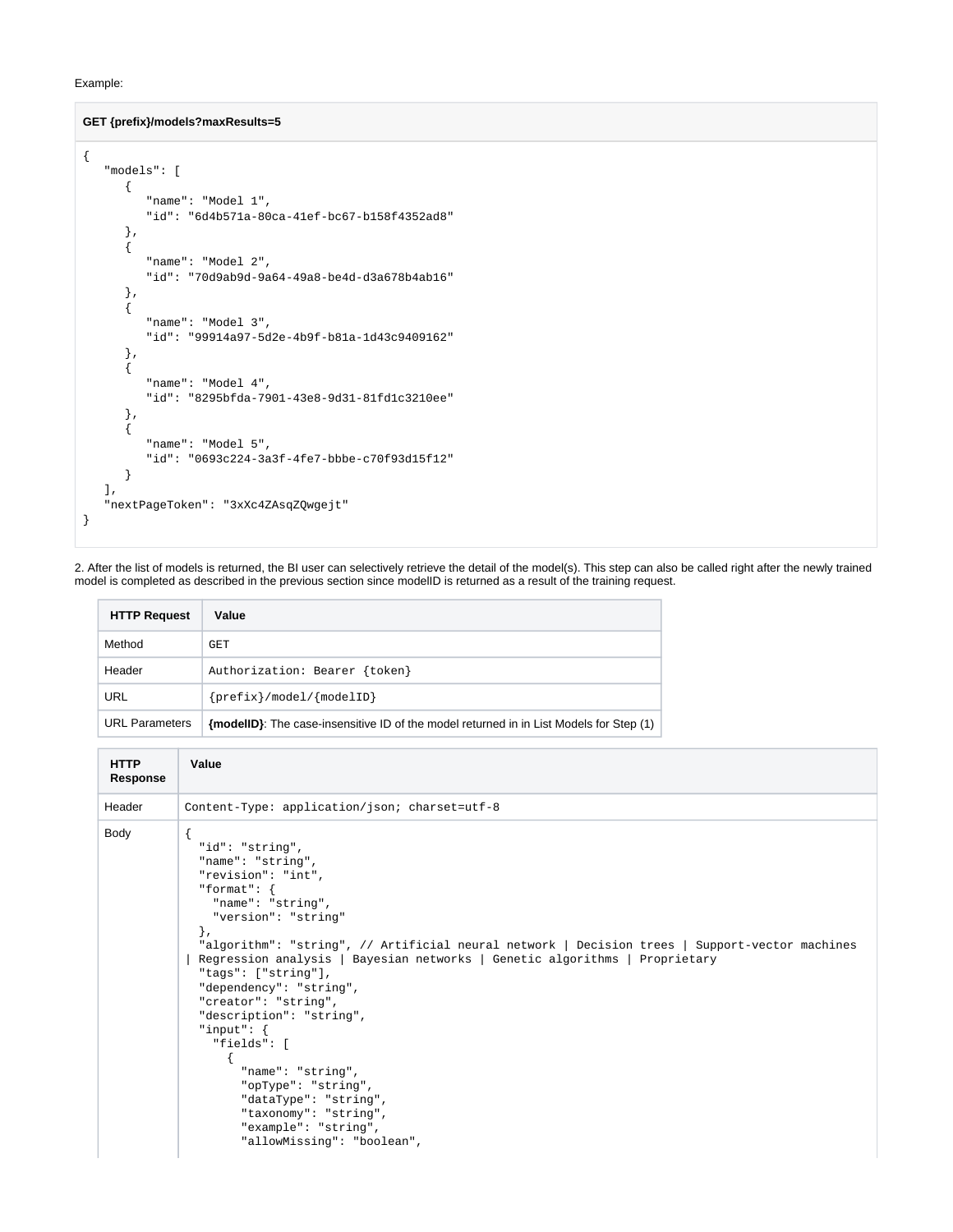#### Example:

#### **GET {prefix}/models?maxResults=5**

```
{
    "models": [
       {
          "name": "Model 1",
          "id": "6d4b571a-80ca-41ef-bc67-b158f4352ad8" 
       },
       {
           "name": "Model 2",
          "id": "70d9ab9d-9a64-49a8-be4d-d3a678b4ab16"
       },
       {
          "name": "Model 3",
          "id": "99914a97-5d2e-4b9f-b81a-1d43c9409162"
       },
       {
          "name": "Model 4",
          "id": "8295bfda-7901-43e8-9d31-81fd1c3210ee"
       },
       {
           "name": "Model 5",
          "id": "0693c224-3a3f-4fe7-bbbe-c70f93d15f12"
       }
    ],
    "nextPageToken": "3xXc4ZAsqZQwgejt"
}
```
2. After the list of models is returned, the BI user can selectively retrieve the detail of the model(s). This step can also be called right after the newly trained model is completed as described in the previous section since modelID is returned as a result of the training request.

| <b>HTTP Request</b>   | Value                                                                                   |
|-----------------------|-----------------------------------------------------------------------------------------|
| Method                | GET                                                                                     |
| Header                | Authorization: Bearer {token}                                                           |
| <b>URL</b>            | $\{prefix\}/model/\{modelID\}$                                                          |
| <b>URL Parameters</b> | {modellD}: The case-insensitive ID of the model returned in in List Models for Step (1) |

```
HTTP 
Response
            Value
Header Content-Type: application/json; charset=utf-8
Body {
               "id": "string",
               "name": "string",
               "revision": "int",
              "format": {
                 "name": "string", 
                 "version": "string"
              },
               "algorithm": "string", // Artificial neural network | Decision trees | Support-vector machines 
            | Regression analysis | Bayesian networks | Genetic algorithms | Proprietary
               "tags": ["string"],
             "dependency": "string",
             "creator": "string",
               "description": "string",
               "input": {
                 "fields": [
                   {
                     "name": "string",
                     "opType": "string",
                     "dataType": "string",
                     "taxonomy": "string",
                     "example": "string",
                     "allowMissing": "boolean",
```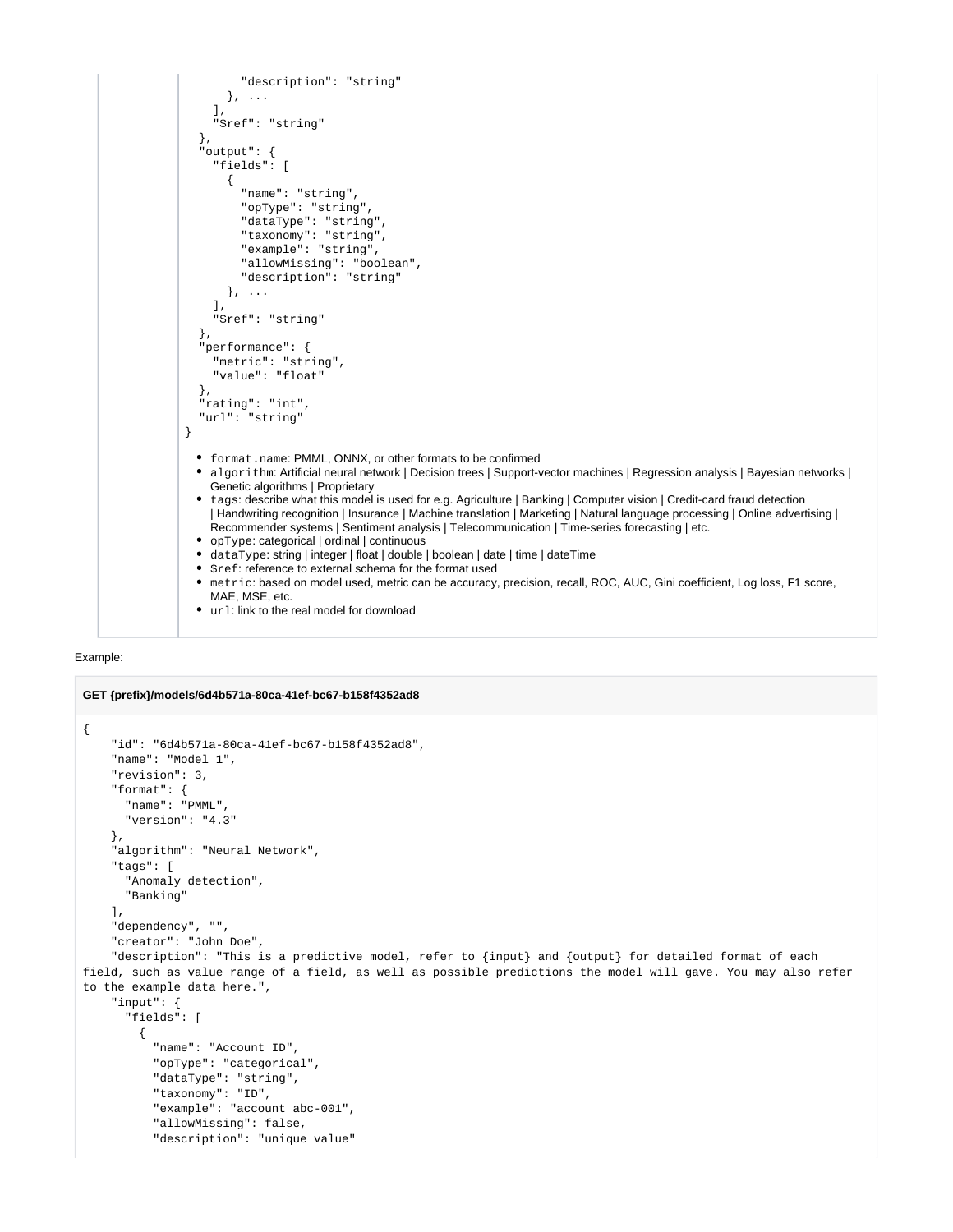```
 "description": "string"
        }, ...
     ],
      "$ref": "string"
   },
   "output": {
     "fields": [
        {
           "name": "string",
          "opType": "string",
           "dataType": "string",
          "taxonomy": "string",
          "example": "string",
          "allowMissing": "boolean",
           "description": "string"
        }, ...
     ],
      "$ref": "string"
   },
   "performance": {
      "metric": "string",
      "value": "float"
   },
   "rating": "int",
   "url": "string"
}
 format.name: PMML, ONNX, or other formats to be confirmed
  algorithm: Artificial neural network | Decision trees | Support-vector machines | Regression analysis | Bayesian networks | 
    Genetic algorithms | Proprietary
  • tags: describe what this model is used for e.g. Agriculture | Banking | Computer vision | Credit-card fraud detection
    | Handwriting recognition | Insurance | Machine translation | Marketing | Natural language processing | Online advertising | 
    Recommender systems | Sentiment analysis | Telecommunication | Time-series forecasting | etc.
  opType: categorical | ordinal | continuous
  dataType: string | integer | float | double | boolean | date | time | dateTime
 • \frac{1}{2} \frac{1}{2} \frac{1}{2} reference to external schema for the format used
  metric: based on model used, metric can be accuracy, precision, recall, ROC, AUC, Gini coefficient, Log loss, F1 score, 
    MAE, MSE, etc.
 • url: link to the real model for download
```


```
GET {prefix}/models/6d4b571a-80ca-41ef-bc67-b158f4352ad8
{
     "id": "6d4b571a-80ca-41ef-bc67-b158f4352ad8",
     "name": "Model 1",
     "revision": 3,
     "format": { 
       "name": "PMML",
       "version": "4.3"
     },
     "algorithm": "Neural Network", 
     "tags": [
       "Anomaly detection", 
       "Banking" 
     ], 
     "dependency", "",
     "creator": "John Doe",
     "description": "This is a predictive model, refer to {input} and {output} for detailed format of each 
field, such as value range of a field, as well as possible predictions the model will gave. You may also refer 
to the example data here.",
     "input": {
       "fields": [
         {
           "name": "Account ID",
           "opType": "categorical",
           "dataType": "string",
           "taxonomy": "ID",
           "example": "account abc-001",
           "allowMissing": false,
           "description": "unique value"
```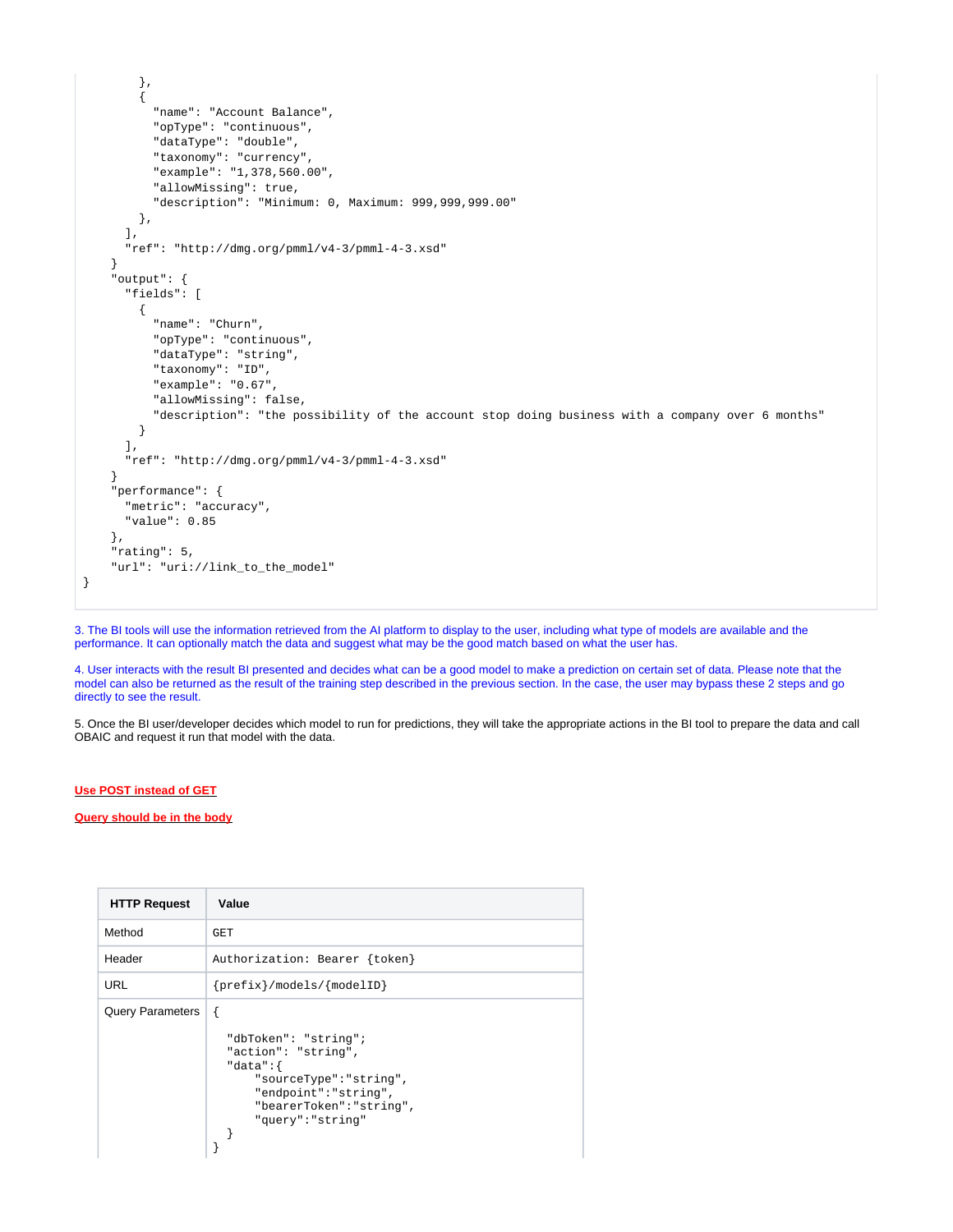```
 },
         {
           "name": "Account Balance",
           "opType": "continuous",
           "dataType": "double",
           "taxonomy": "currency",
           "example": "1,378,560.00",
           "allowMissing": true,
           "description": "Minimum: 0, Maximum: 999,999,999.00"
        }, 
       ],
       "ref": "http://dmg.org/pmml/v4-3/pmml-4-3.xsd" 
     }
     "output": {
       "fields": [
         {
           "name": "Churn",
           "opType": "continuous",
           "dataType": "string",
           "taxonomy": "ID",
           "example": "0.67",
           "allowMissing": false,
           "description": "the possibility of the account stop doing business with a company over 6 months"
         }
       ],
       "ref": "http://dmg.org/pmml/v4-3/pmml-4-3.xsd" 
     }
     "performance": { 
       "metric": "accuracy", 
       "value": 0.85
     },
     "rating": 5,
     "url": "uri://link_to_the_model" 
}
```
3. The BI tools will use the information retrieved from the AI platform to display to the user, including what type of models are available and the performance. It can optionally match the data and suggest what may be the good match based on what the user has.

4. User interacts with the result BI presented and decides what can be a good model to make a prediction on certain set of data. Please note that the model can also be returned as the result of the training step described in the previous section. In the case, the user may bypass these 2 steps and go directly to see the result.

5. Once the BI user/developer decides which model to run for predictions, they will take the appropriate actions in the BI tool to prepare the data and call OBAIC and request it run that model with the data.

#### **Use POST instead of GET**

**Query should be in the body**

| <b>HTTP Request</b>     | Value                                                                                                                                                                |
|-------------------------|----------------------------------------------------------------------------------------------------------------------------------------------------------------------|
| Method                  | GET                                                                                                                                                                  |
| Header                  | Authorization: Bearer {token}                                                                                                                                        |
| URL                     | $\{prefix\}/models / \{modelID\}$                                                                                                                                    |
| <b>Query Parameters</b> | ſ<br>"dbToken": "string";<br>"action": "string",<br>"data": $\{$<br>"sourceType": "string",<br>"endpoint": "string",<br>"bearerToken": "string",<br>"query":"string" |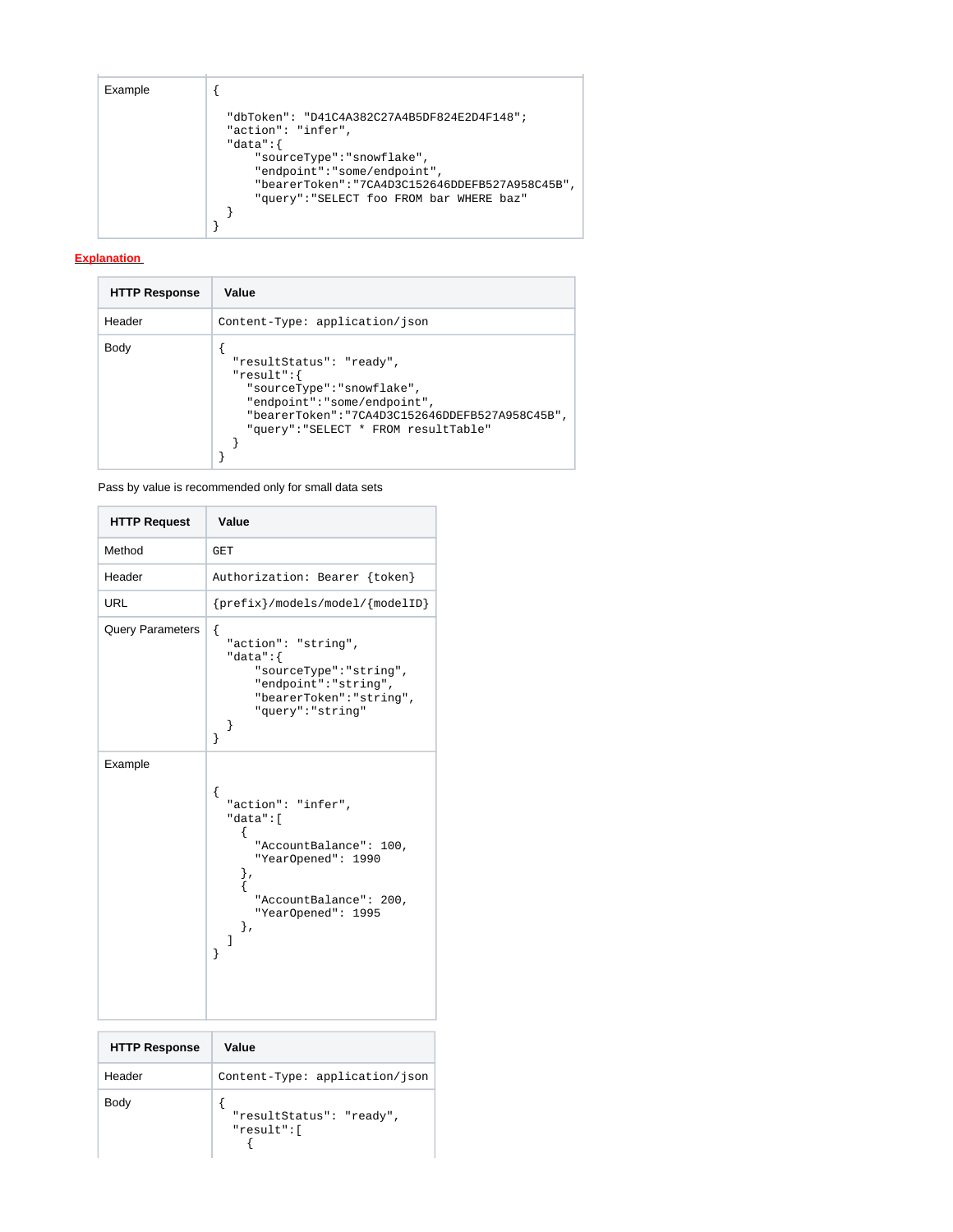#### Example  $\left| \begin{array}{c} \end{array} \right|$

```
 "dbToken": "D41C4A382C27A4B5DF824E2D4F148";
 "action": "infer",
  "data":{
 "sourceType":"snowflake",
 "endpoint":"some/endpoint",
 "bearerToken":"7CA4D3C152646DDEFB527A958C45B",
 "query":"SELECT foo FROM bar WHERE baz"
  }
}
```
#### **Explanation**

| <b>HTTP Response</b> | Value                                                                                                                                                                                        |
|----------------------|----------------------------------------------------------------------------------------------------------------------------------------------------------------------------------------------|
| Header               | Content-Type: application/json                                                                                                                                                               |
| Body                 | "resultStatus": "ready",<br>"result":<br>"sourceType":"snowflake",<br>"endpoint": "some/endpoint",<br>"bearerToken":"7CA4D3C152646DDEFB527A958C45B",<br>"query": "SELECT * FROM resultTable" |

Pass by value is recommended only for small data sets

| <b>HTTP Request</b>     | Value                                                                                                                                                               |
|-------------------------|---------------------------------------------------------------------------------------------------------------------------------------------------------------------|
| Method                  | GET                                                                                                                                                                 |
| Header                  | Authorization: Bearer {token}                                                                                                                                       |
| <b>URL</b>              | $\{prefix\}/models/models/model/\{modelID\}$                                                                                                                        |
| <b>Query Parameters</b> | ſ<br>"action": "string",<br>"data": $\{$<br>"sourceType": "string",<br>"endpoint": "string",<br>"bearerToken": "string",<br>"query": "string"<br>ł<br>ł             |
| Example                 | ſ<br>"action": "infer",<br>"data":[<br>ſ<br>"AccountBalance": 100,<br>"YearOpened": 1990<br>},<br>ł<br>"AccountBalance": 200,<br>"YearOpened": 1995<br>},<br>1<br>ł |

| <b>HTTP Response</b> | Value                                  |
|----------------------|----------------------------------------|
| Header               | Content-Type: application/json         |
| Body                 | "resultStatus": "ready",<br>"result":[ |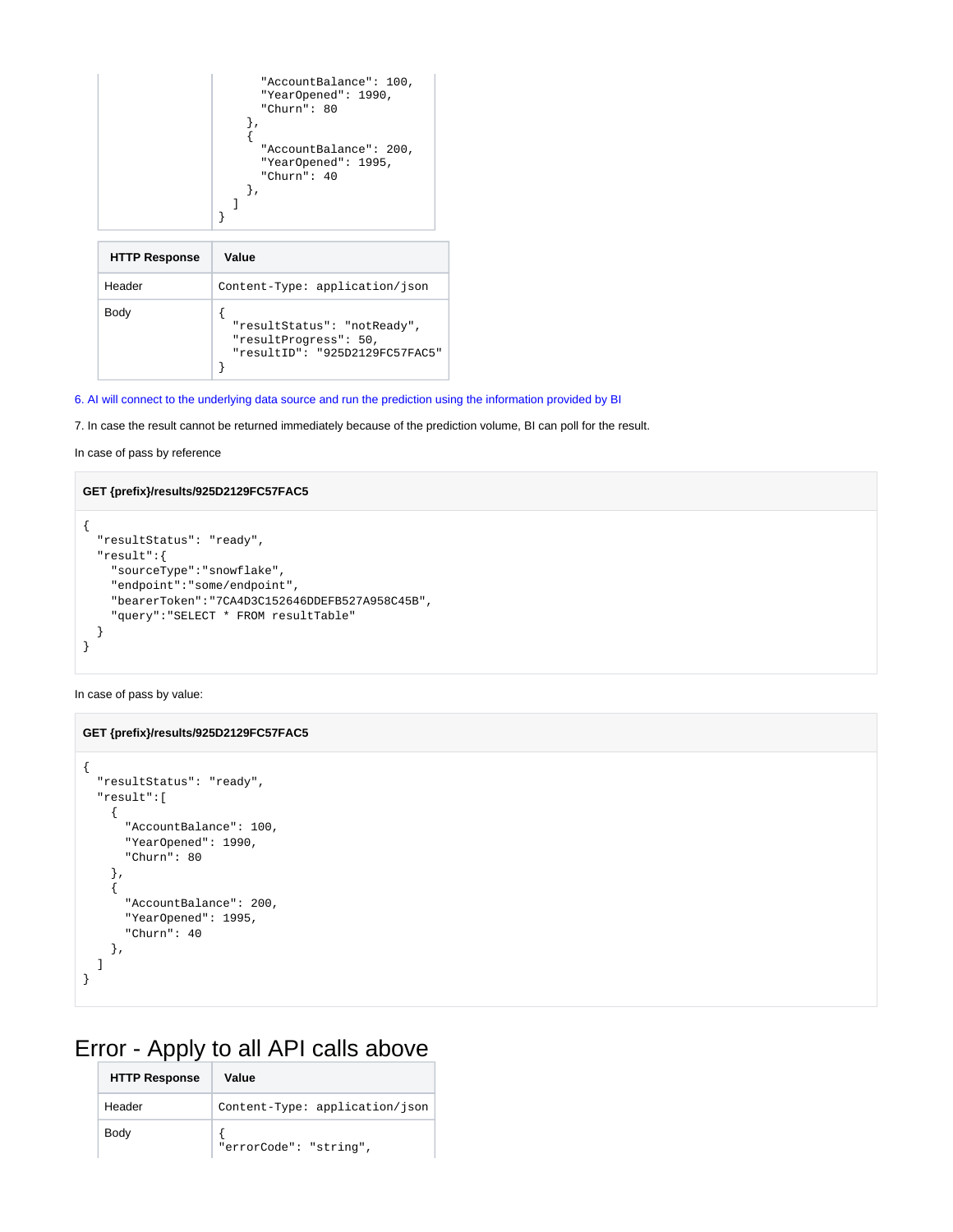|                      | "AccountBalance": 100,<br>"YearOpened": 1990,<br>"Churn": 80<br>"AccountBalance": 200,<br>"YearOpened": 1995,<br>"Churn": $40$ |
|----------------------|--------------------------------------------------------------------------------------------------------------------------------|
| <b>HTTP Response</b> | Value                                                                                                                          |
| Header               | Content-Type: application/json                                                                                                 |
|                      |                                                                                                                                |

| Body |                                |
|------|--------------------------------|
|      | "resultStatus": "notReady",    |
|      | "resultProgress": 50,          |
|      | "resultID": "925D2129FC57FAC5" |
|      |                                |

6. AI will connect to the underlying data source and run the prediction using the information provided by BI

7. In case the result cannot be returned immediately because of the prediction volume, BI can poll for the result.

```
In case of pass by reference
```
Header

#### **GET {prefix}/results/925D2129FC57FAC5**

```
{
  "resultStatus": "ready",
  "result":{
    "sourceType":"snowflake",
    "endpoint":"some/endpoint",
     "bearerToken":"7CA4D3C152646DDEFB527A958C45B",
     "query":"SELECT * FROM resultTable"
  }
}
```
In case of pass by value:

#### **GET {prefix}/results/925D2129FC57FAC5**

```
{
   "resultStatus": "ready",
   "result":[
     { 
       "AccountBalance": 100,
       "YearOpened": 1990,
       "Churn": 80
     },
     { 
       "AccountBalance": 200,
       "YearOpened": 1995,
       "Churn": 40
     },
   ]
}
```
# Error - Apply to all API calls above

| <b>HTTP Response</b> | Value                          |
|----------------------|--------------------------------|
| Header               | Content-Type: application/json |
| Body                 | "errorCode": "string",         |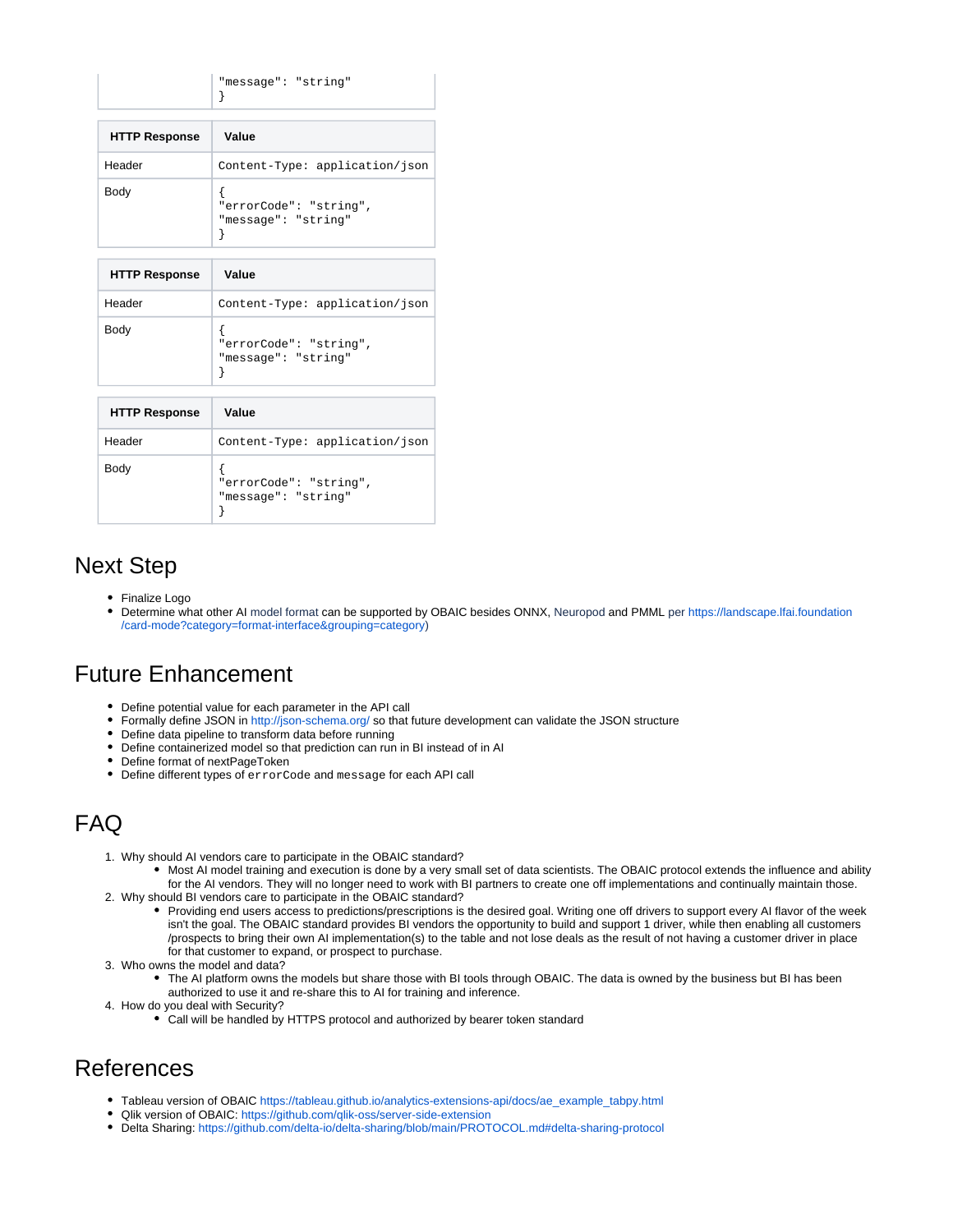|                      | "message": "string"                           |  |
|----------------------|-----------------------------------------------|--|
| <b>HTTP Response</b> | Value                                         |  |
| Header               | Content-Type: application/json                |  |
| Body                 | "errorCode": "string",<br>"message": "string" |  |

| <b>HTTP Response</b> | Value                                         |
|----------------------|-----------------------------------------------|
| Header               | Content-Type: application/json                |
| Body                 | "errorCode": "string",<br>"message": "string" |

| <b>HTTP Response</b> | Value                                         |
|----------------------|-----------------------------------------------|
| Header               | Content-Type: application/json                |
| Body                 | "errorCode": "string",<br>"message": "string" |

# Next Step

- Finalize Logo
- Determine what other AI model format can be supported by OBAIC besides ONNX, Neuropod and PMML per [https://landscape.lfai.foundation](https://landscape.lfai.foundation/card-mode?category=format-interface&grouping=category) [/card-mode?category=format-interface&grouping=category](https://landscape.lfai.foundation/card-mode?category=format-interface&grouping=category))

### Future Enhancement

- Define potential value for each parameter in the API call
- Formally define JSON in<http://json-schema.org/>so that future development can validate the JSON structure
- Define data pipeline to transform data before running
- $\bullet$ Define containerized model so that prediction can run in BI instead of in AI
- Define format of nextPageToken
- Define different types of errorCode and message for each API call

# FAQ

- 1. Why should AI vendors care to participate in the OBAIC standard?
- 2. Why should BI vendors care to participate in the OBAIC standard? Most AI model training and execution is done by a very small set of data scientists. The OBAIC protocol extends the influence and ability for the AI vendors. They will no longer need to work with BI partners to create one off implementations and continually maintain those.
	- Providing end users access to predictions/prescriptions is the desired goal. Writing one off drivers to support every AI flavor of the week isn't the goal. The OBAIC standard provides BI vendors the opportunity to build and support 1 driver, while then enabling all customers /prospects to bring their own AI implementation(s) to the table and not lose deals as the result of not having a customer driver in place for that customer to expand, or prospect to purchase.
- 3. Who owns the model and data?
	- The AI platform owns the models but share those with BI tools through OBAIC. The data is owned by the business but BI has been authorized to use it and re-share this to AI for training and inference.
- 4. How do you deal with Security?
	- Call will be handled by HTTPS protocol and authorized by bearer token standard

### References

- Tableau version of OBAIC [https://tableau.github.io/analytics-extensions-api/docs/ae\\_example\\_tabpy.html](https://tableau.github.io/analytics-extensions-api/docs/ae_example_tabpy.html)
- Qlik version of OBAIC:<https://github.com/qlik-oss/server-side-extension>
- Delta Sharing: <https://github.com/delta-io/delta-sharing/blob/main/PROTOCOL.md#delta-sharing-protocol>